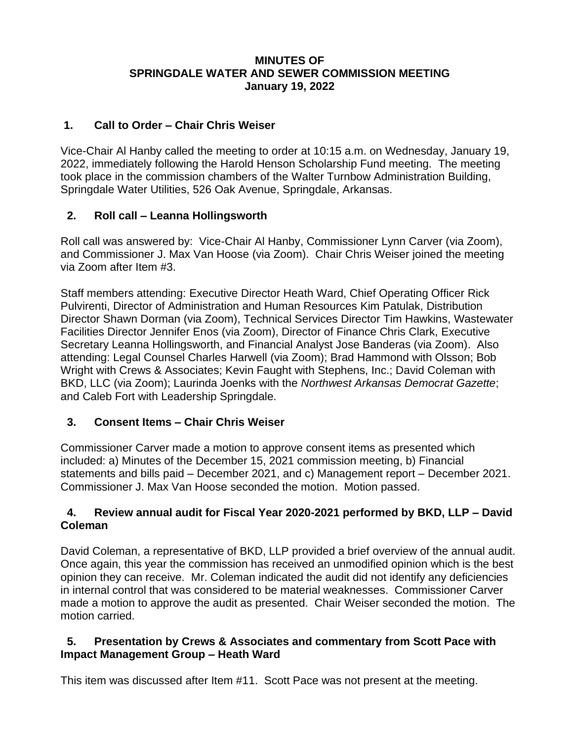#### **MINUTES OF SPRINGDALE WATER AND SEWER COMMISSION MEETING January 19, 2022**

### **1. Call to Order – Chair Chris Weiser**

Vice-Chair Al Hanby called the meeting to order at 10:15 a.m. on Wednesday, January 19, 2022, immediately following the Harold Henson Scholarship Fund meeting. The meeting took place in the commission chambers of the Walter Turnbow Administration Building, Springdale Water Utilities, 526 Oak Avenue, Springdale, Arkansas.

## **2. Roll call – Leanna Hollingsworth**

Roll call was answered by: Vice-Chair Al Hanby, Commissioner Lynn Carver (via Zoom), and Commissioner J. Max Van Hoose (via Zoom). Chair Chris Weiser joined the meeting via Zoom after Item #3.

Staff members attending: Executive Director Heath Ward, Chief Operating Officer Rick Pulvirenti, Director of Administration and Human Resources Kim Patulak, Distribution Director Shawn Dorman (via Zoom), Technical Services Director Tim Hawkins, Wastewater Facilities Director Jennifer Enos (via Zoom), Director of Finance Chris Clark, Executive Secretary Leanna Hollingsworth, and Financial Analyst Jose Banderas (via Zoom). Also attending: Legal Counsel Charles Harwell (via Zoom); Brad Hammond with Olsson; Bob Wright with Crews & Associates; Kevin Faught with Stephens, Inc.; David Coleman with BKD, LLC (via Zoom); Laurinda Joenks with the *Northwest Arkansas Democrat Gazette*; and Caleb Fort with Leadership Springdale.

# **3. Consent Items – Chair Chris Weiser**

Commissioner Carver made a motion to approve consent items as presented which included: a) Minutes of the December 15, 2021 commission meeting, b) Financial statements and bills paid – December 2021, and c) Management report – December 2021. Commissioner J. Max Van Hoose seconded the motion. Motion passed.

## **4. Review annual audit for Fiscal Year 2020-2021 performed by BKD, LLP – David Coleman**

David Coleman, a representative of BKD, LLP provided a brief overview of the annual audit. Once again, this year the commission has received an unmodified opinion which is the best opinion they can receive. Mr. Coleman indicated the audit did not identify any deficiencies in internal control that was considered to be material weaknesses. Commissioner Carver made a motion to approve the audit as presented. Chair Weiser seconded the motion. The motion carried.

#### **5. Presentation by Crews & Associates and commentary from Scott Pace with Impact Management Group – Heath Ward**

This item was discussed after Item #11. Scott Pace was not present at the meeting.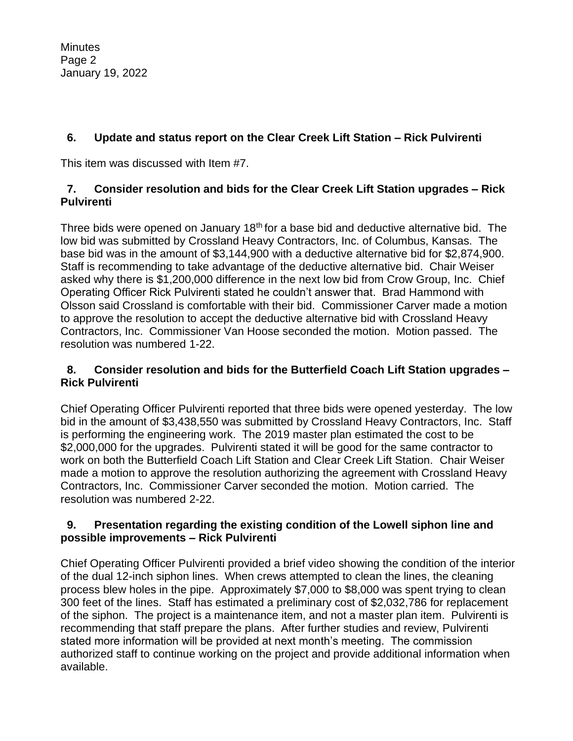**Minutes** Page 2 January 19, 2022

# **6. Update and status report on the Clear Creek Lift Station – Rick Pulvirenti**

This item was discussed with Item #7.

### **7. Consider resolution and bids for the Clear Creek Lift Station upgrades – Rick Pulvirenti**

Three bids were opened on January 18<sup>th</sup> for a base bid and deductive alternative bid. The low bid was submitted by Crossland Heavy Contractors, Inc. of Columbus, Kansas. The base bid was in the amount of \$3,144,900 with a deductive alternative bid for \$2,874,900. Staff is recommending to take advantage of the deductive alternative bid. Chair Weiser asked why there is \$1,200,000 difference in the next low bid from Crow Group, Inc. Chief Operating Officer Rick Pulvirenti stated he couldn't answer that. Brad Hammond with Olsson said Crossland is comfortable with their bid. Commissioner Carver made a motion to approve the resolution to accept the deductive alternative bid with Crossland Heavy Contractors, Inc. Commissioner Van Hoose seconded the motion. Motion passed. The resolution was numbered 1-22.

#### **8. Consider resolution and bids for the Butterfield Coach Lift Station upgrades – Rick Pulvirenti**

Chief Operating Officer Pulvirenti reported that three bids were opened yesterday. The low bid in the amount of \$3,438,550 was submitted by Crossland Heavy Contractors, Inc. Staff is performing the engineering work. The 2019 master plan estimated the cost to be \$2,000,000 for the upgrades. Pulvirenti stated it will be good for the same contractor to work on both the Butterfield Coach Lift Station and Clear Creek Lift Station. Chair Weiser made a motion to approve the resolution authorizing the agreement with Crossland Heavy Contractors, Inc. Commissioner Carver seconded the motion. Motion carried. The resolution was numbered 2-22.

#### **9. Presentation regarding the existing condition of the Lowell siphon line and possible improvements – Rick Pulvirenti**

Chief Operating Officer Pulvirenti provided a brief video showing the condition of the interior of the dual 12-inch siphon lines. When crews attempted to clean the lines, the cleaning process blew holes in the pipe. Approximately \$7,000 to \$8,000 was spent trying to clean 300 feet of the lines. Staff has estimated a preliminary cost of \$2,032,786 for replacement of the siphon. The project is a maintenance item, and not a master plan item. Pulvirenti is recommending that staff prepare the plans. After further studies and review, Pulvirenti stated more information will be provided at next month's meeting. The commission authorized staff to continue working on the project and provide additional information when available.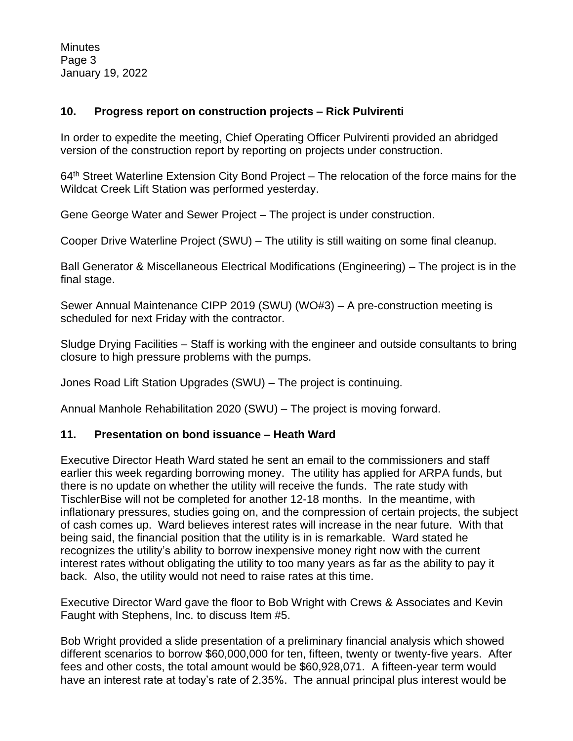**Minutes** Page 3 January 19, 2022

#### **10. Progress report on construction projects – Rick Pulvirenti**

In order to expedite the meeting, Chief Operating Officer Pulvirenti provided an abridged version of the construction report by reporting on projects under construction.

64<sup>th</sup> Street Waterline Extension City Bond Project – The relocation of the force mains for the Wildcat Creek Lift Station was performed yesterday.

Gene George Water and Sewer Project – The project is under construction.

Cooper Drive Waterline Project (SWU) – The utility is still waiting on some final cleanup.

Ball Generator & Miscellaneous Electrical Modifications (Engineering) – The project is in the final stage.

Sewer Annual Maintenance CIPP 2019 (SWU) (WO#3) – A pre-construction meeting is scheduled for next Friday with the contractor.

Sludge Drying Facilities – Staff is working with the engineer and outside consultants to bring closure to high pressure problems with the pumps.

Jones Road Lift Station Upgrades (SWU) – The project is continuing.

Annual Manhole Rehabilitation 2020 (SWU) – The project is moving forward.

#### **11. Presentation on bond issuance – Heath Ward**

Executive Director Heath Ward stated he sent an email to the commissioners and staff earlier this week regarding borrowing money. The utility has applied for ARPA funds, but there is no update on whether the utility will receive the funds. The rate study with TischlerBise will not be completed for another 12-18 months. In the meantime, with inflationary pressures, studies going on, and the compression of certain projects, the subject of cash comes up. Ward believes interest rates will increase in the near future. With that being said, the financial position that the utility is in is remarkable. Ward stated he recognizes the utility's ability to borrow inexpensive money right now with the current interest rates without obligating the utility to too many years as far as the ability to pay it back. Also, the utility would not need to raise rates at this time.

Executive Director Ward gave the floor to Bob Wright with Crews & Associates and Kevin Faught with Stephens, Inc. to discuss Item #5.

Bob Wright provided a slide presentation of a preliminary financial analysis which showed different scenarios to borrow \$60,000,000 for ten, fifteen, twenty or twenty-five years. After fees and other costs, the total amount would be \$60,928,071. A fifteen-year term would have an interest rate at today's rate of 2.35%. The annual principal plus interest would be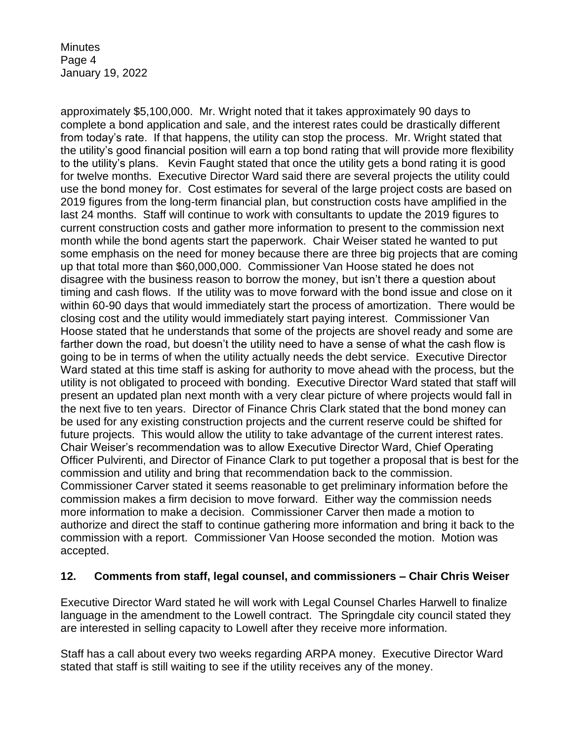**Minutes** Page 4 January 19, 2022

approximately \$5,100,000. Mr. Wright noted that it takes approximately 90 days to complete a bond application and sale, and the interest rates could be drastically different from today's rate. If that happens, the utility can stop the process. Mr. Wright stated that the utility's good financial position will earn a top bond rating that will provide more flexibility to the utility's plans. Kevin Faught stated that once the utility gets a bond rating it is good for twelve months. Executive Director Ward said there are several projects the utility could use the bond money for. Cost estimates for several of the large project costs are based on 2019 figures from the long-term financial plan, but construction costs have amplified in the last 24 months. Staff will continue to work with consultants to update the 2019 figures to current construction costs and gather more information to present to the commission next month while the bond agents start the paperwork. Chair Weiser stated he wanted to put some emphasis on the need for money because there are three big projects that are coming up that total more than \$60,000,000. Commissioner Van Hoose stated he does not disagree with the business reason to borrow the money, but isn't there a question about timing and cash flows. If the utility was to move forward with the bond issue and close on it within 60-90 days that would immediately start the process of amortization. There would be closing cost and the utility would immediately start paying interest. Commissioner Van Hoose stated that he understands that some of the projects are shovel ready and some are farther down the road, but doesn't the utility need to have a sense of what the cash flow is going to be in terms of when the utility actually needs the debt service. Executive Director Ward stated at this time staff is asking for authority to move ahead with the process, but the utility is not obligated to proceed with bonding. Executive Director Ward stated that staff will present an updated plan next month with a very clear picture of where projects would fall in the next five to ten years. Director of Finance Chris Clark stated that the bond money can be used for any existing construction projects and the current reserve could be shifted for future projects. This would allow the utility to take advantage of the current interest rates. Chair Weiser's recommendation was to allow Executive Director Ward, Chief Operating Officer Pulvirenti, and Director of Finance Clark to put together a proposal that is best for the commission and utility and bring that recommendation back to the commission. Commissioner Carver stated it seems reasonable to get preliminary information before the commission makes a firm decision to move forward. Either way the commission needs more information to make a decision. Commissioner Carver then made a motion to authorize and direct the staff to continue gathering more information and bring it back to the commission with a report. Commissioner Van Hoose seconded the motion. Motion was accepted.

#### **12. Comments from staff, legal counsel, and commissioners – Chair Chris Weiser**

Executive Director Ward stated he will work with Legal Counsel Charles Harwell to finalize language in the amendment to the Lowell contract. The Springdale city council stated they are interested in selling capacity to Lowell after they receive more information.

Staff has a call about every two weeks regarding ARPA money. Executive Director Ward stated that staff is still waiting to see if the utility receives any of the money.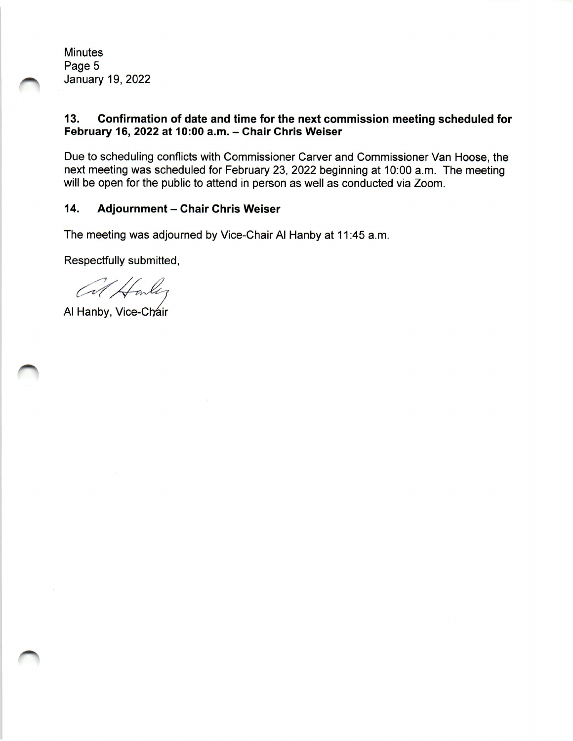**Minutes** Page 5 **January 19, 2022** 

#### $13.$ Confirmation of date and time for the next commission meeting scheduled for February 16, 2022 at 10:00 a.m. - Chair Chris Weiser

Due to scheduling conflicts with Commissioner Carver and Commissioner Van Hoose, the next meeting was scheduled for February 23, 2022 beginning at 10:00 a.m. The meeting will be open for the public to attend in person as well as conducted via Zoom.

#### 14. **Adjournment - Chair Chris Weiser**

The meeting was adjourned by Vice-Chair Al Hanby at 11:45 a.m.

Respectfully submitted,

Al Houley

Al Hanby, Vice-Chair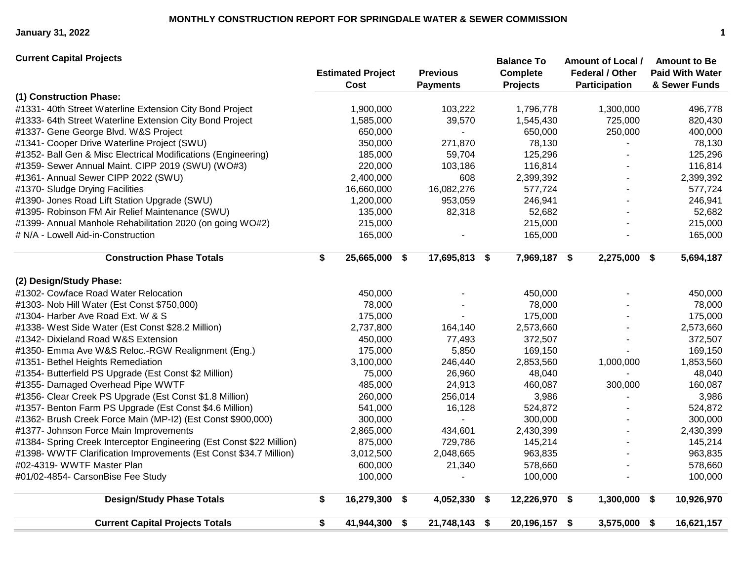**January 31, 2022 1**

**(1) Construction Phase:** #1331- 40th Street Waterline Extension City Bond Project 1,900,000 103,222 1,796,778 1,300,000 496,778 #1333- 64th Street Waterline Extension City Bond Project 1,585,000 39,570 1,545,430 725,000 820,430 #1337- Gene George Blvd. W&S Project 650,000 - 650,000 250,000 400,000 #1341- Cooper Drive Waterline Project (SWU) 350,000 271,870 78,130 - 78,130 #1352- Ball Gen & Misc Electrical Modifications (Engineering) 185,000 59,704 125,296 - 125,296 #1359- Sewer Annual Maint. CIPP 2019 (SWU) (WO#3) 220,000 103,186 116,814 - 116,814 #1361- Annual Sewer CIPP 2022 (SWU) 2,400,000 608 2,399,392 - 2,399,392 #1370- Sludge Drying Facilities 16,660,000 16,082,276 577,724 - 577,724 #1390- Jones Road Lift Station Upgrade (SWU) 1,200,000 953,059 246,941 - 246,941 #1395- Robinson FM Air Relief Maintenance (SWU) 135,000 82,318 52,682 - 52,682 #1399- Annual Manhole Rehabilitation 2020 (on going WO#2) 215,000 215,000 - 215,000 # N/A - Lowell Aid-in-Construction 165,000 - 165,000 - 165,000 **Construction Phase Totals \$ 25,665,000 \$ 17,695,813 \$ 7,969,187 \$ 2,275,000 \$ 5,694,187 (2) Design/Study Phase:** #1302- Cowface Road Water Relocation 450,000 - 450,000 - 450,000 #1303- Nob Hill Water (Est Const \$750,000) 78,000 - 78,000 - 78,000 #1304- Harber Ave Road Ext. W & S 175,000 - 175,000 - 175,000 #1338- West Side Water (Est Const \$28.2 Million) 2,737,800 164,140 2,573,660 - 2,573,660 #1342- Dixieland Road W&S Extension 450,000 77,493 372,507 - 372,507 #1350- Emma Ave W&S Reloc.-RGW Realignment (Eng.) 175,000 5,850 169,150 - 169,150 #1351- Bethel Heights Remediation 3,100,000 246,440 2,853,560 1,000,000 1,853,560 #1354- Butterfield PS Upgrade (Est Const \$2 Million) 75,000 26,960 48,040 - 48,040 #1355- Damaged Overhead Pipe WWTF 485,000 24,913 460,087 300,000 160,087 #1356- Clear Creek PS Upgrade (Est Const \$1.8 Million) 260,000 256,014 3,986 - 3,986 #1357- Benton Farm PS Upgrade (Est Const \$4.6 Million) 541,000 16,128 524,872 - 524,872 #1362- Brush Creek Force Main (MP-I2) (Est Const \$900,000) 300,000 - 300,000 - 300,000 #1377- Johnson Force Main Improvements 2,865,000 434,601 2,430,399 - 2,430,399 #1384- Spring Creek Interceptor Engineering (Est Const \$22 Million) 875,000 729,786 145,214 - 145,214 #1398- WWTF Clarification Improvements (Est Const \$34.7 Million) 3,012,500 2,048,665 963,835 - 963,835 #02-4319- WWTF Master Plan 600,000 21,340 578,660 - 578,660 #01/02-4854- CarsonBise Fee Study 100,000 - 100,000 - 100,000 **Design/Study Phase Totals \$ 16,279,300 \$ 4,052,330 \$ 12,226,970 \$ 1,300,000 \$ 10,926,970 Current Capital Projects Totals \$ 41,944,300 \$ 21,748,143 \$ 20,196,157 \$ 3,575,000 \$ 16,621,157 Previous Payments Balance To Complete Projects Amount of Local / Federal / Other Participation Amount to Be Paid With Water & Sewer Funds Current Capital Projects Estimated Project Cost**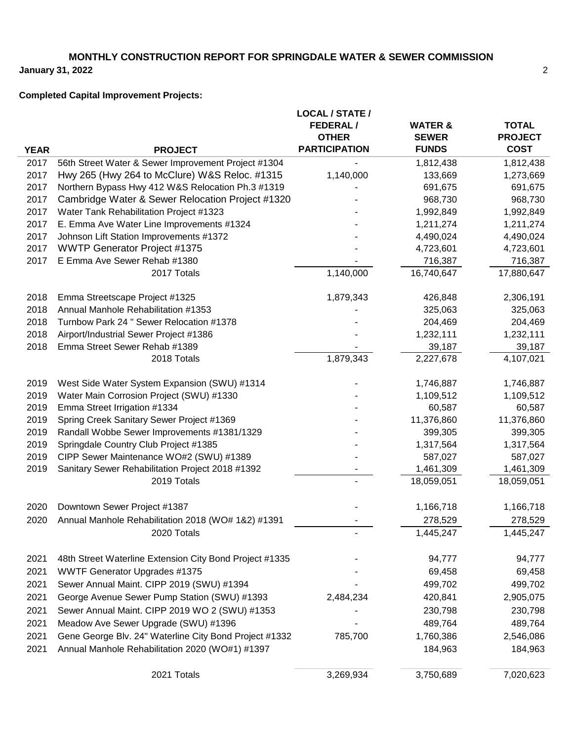# **MONTHLY CONSTRUCTION REPORT FOR SPRINGDALE WATER & SEWER COMMISSION**

**January 31, 2022**

# **Completed Capital Improvement Projects:**

| <b>FEDERAL/</b><br><b>WATER &amp;</b><br><b>OTHER</b><br><b>SEWER</b><br><b>PARTICIPATION</b><br><b>FUNDS</b><br><b>YEAR</b><br><b>PROJECT</b><br>2017<br>56th Street Water & Sewer Improvement Project #1304<br>1,812,438<br>Hwy 265 (Hwy 264 to McClure) W&S Reloc. #1315<br>2017<br>1,140,000<br>133,669<br>Northern Bypass Hwy 412 W&S Relocation Ph.3 #1319<br>2017<br>691,675<br>2017<br>Cambridge Water & Sewer Relocation Project #1320<br>968,730<br>2017<br>Water Tank Rehabilitation Project #1323<br>1,992,849<br>2017<br>E. Emma Ave Water Line Improvements #1324<br>1,211,274<br>2017<br>Johnson Lift Station Improvements #1372<br>4,490,024<br>2017<br><b>WWTP Generator Project #1375</b><br>4,723,601<br>E Emma Ave Sewer Rehab #1380<br>716,387<br>2017 | <b>TOTAL</b><br><b>PROJECT</b><br><b>COST</b><br>1,812,438<br>1,273,669<br>691,675<br>968,730<br>1,992,849<br>1,211,274<br>4,490,024<br>4,723,601<br>716,387 |
|-----------------------------------------------------------------------------------------------------------------------------------------------------------------------------------------------------------------------------------------------------------------------------------------------------------------------------------------------------------------------------------------------------------------------------------------------------------------------------------------------------------------------------------------------------------------------------------------------------------------------------------------------------------------------------------------------------------------------------------------------------------------------------|--------------------------------------------------------------------------------------------------------------------------------------------------------------|
|                                                                                                                                                                                                                                                                                                                                                                                                                                                                                                                                                                                                                                                                                                                                                                             |                                                                                                                                                              |
|                                                                                                                                                                                                                                                                                                                                                                                                                                                                                                                                                                                                                                                                                                                                                                             |                                                                                                                                                              |
|                                                                                                                                                                                                                                                                                                                                                                                                                                                                                                                                                                                                                                                                                                                                                                             |                                                                                                                                                              |
|                                                                                                                                                                                                                                                                                                                                                                                                                                                                                                                                                                                                                                                                                                                                                                             |                                                                                                                                                              |
|                                                                                                                                                                                                                                                                                                                                                                                                                                                                                                                                                                                                                                                                                                                                                                             |                                                                                                                                                              |
|                                                                                                                                                                                                                                                                                                                                                                                                                                                                                                                                                                                                                                                                                                                                                                             |                                                                                                                                                              |
|                                                                                                                                                                                                                                                                                                                                                                                                                                                                                                                                                                                                                                                                                                                                                                             |                                                                                                                                                              |
|                                                                                                                                                                                                                                                                                                                                                                                                                                                                                                                                                                                                                                                                                                                                                                             |                                                                                                                                                              |
|                                                                                                                                                                                                                                                                                                                                                                                                                                                                                                                                                                                                                                                                                                                                                                             |                                                                                                                                                              |
|                                                                                                                                                                                                                                                                                                                                                                                                                                                                                                                                                                                                                                                                                                                                                                             |                                                                                                                                                              |
|                                                                                                                                                                                                                                                                                                                                                                                                                                                                                                                                                                                                                                                                                                                                                                             |                                                                                                                                                              |
|                                                                                                                                                                                                                                                                                                                                                                                                                                                                                                                                                                                                                                                                                                                                                                             |                                                                                                                                                              |
| 2017 Totals<br>1,140,000<br>16,740,647                                                                                                                                                                                                                                                                                                                                                                                                                                                                                                                                                                                                                                                                                                                                      | 17,880,647                                                                                                                                                   |
| 2018<br>Emma Streetscape Project #1325<br>1,879,343<br>426,848                                                                                                                                                                                                                                                                                                                                                                                                                                                                                                                                                                                                                                                                                                              | 2,306,191                                                                                                                                                    |
| 2018<br>Annual Manhole Rehabilitation #1353<br>325,063                                                                                                                                                                                                                                                                                                                                                                                                                                                                                                                                                                                                                                                                                                                      | 325,063                                                                                                                                                      |
| 2018<br>Turnbow Park 24 " Sewer Relocation #1378<br>204,469                                                                                                                                                                                                                                                                                                                                                                                                                                                                                                                                                                                                                                                                                                                 | 204,469                                                                                                                                                      |
| 1,232,111<br>2018<br>Airport/Industrial Sewer Project #1386                                                                                                                                                                                                                                                                                                                                                                                                                                                                                                                                                                                                                                                                                                                 | 1,232,111                                                                                                                                                    |
| Emma Street Sewer Rehab #1389<br>2018<br>39,187                                                                                                                                                                                                                                                                                                                                                                                                                                                                                                                                                                                                                                                                                                                             | 39,187                                                                                                                                                       |
| 1,879,343<br>2018 Totals<br>2,227,678                                                                                                                                                                                                                                                                                                                                                                                                                                                                                                                                                                                                                                                                                                                                       | 4,107,021                                                                                                                                                    |
| 2019<br>West Side Water System Expansion (SWU) #1314<br>1,746,887                                                                                                                                                                                                                                                                                                                                                                                                                                                                                                                                                                                                                                                                                                           | 1,746,887                                                                                                                                                    |
| Water Main Corrosion Project (SWU) #1330<br>1,109,512<br>2019                                                                                                                                                                                                                                                                                                                                                                                                                                                                                                                                                                                                                                                                                                               | 1,109,512                                                                                                                                                    |
| 2019<br>Emma Street Irrigation #1334<br>60,587                                                                                                                                                                                                                                                                                                                                                                                                                                                                                                                                                                                                                                                                                                                              | 60,587                                                                                                                                                       |
| 2019<br>Spring Creek Sanitary Sewer Project #1369<br>11,376,860                                                                                                                                                                                                                                                                                                                                                                                                                                                                                                                                                                                                                                                                                                             | 11,376,860                                                                                                                                                   |
| 2019<br>Randall Wobbe Sewer Improvements #1381/1329<br>399,305                                                                                                                                                                                                                                                                                                                                                                                                                                                                                                                                                                                                                                                                                                              | 399,305                                                                                                                                                      |
| 2019<br>Springdale Country Club Project #1385<br>1,317,564                                                                                                                                                                                                                                                                                                                                                                                                                                                                                                                                                                                                                                                                                                                  | 1,317,564                                                                                                                                                    |
| 2019<br>CIPP Sewer Maintenance WO#2 (SWU) #1389<br>587,027                                                                                                                                                                                                                                                                                                                                                                                                                                                                                                                                                                                                                                                                                                                  | 587,027                                                                                                                                                      |
| Sanitary Sewer Rehabilitation Project 2018 #1392<br>1,461,309<br>2019                                                                                                                                                                                                                                                                                                                                                                                                                                                                                                                                                                                                                                                                                                       | 1,461,309                                                                                                                                                    |
| 2019 Totals<br>18,059,051                                                                                                                                                                                                                                                                                                                                                                                                                                                                                                                                                                                                                                                                                                                                                   | 18,059,051                                                                                                                                                   |
| 2020<br>Downtown Sewer Project #1387<br>1,166,718                                                                                                                                                                                                                                                                                                                                                                                                                                                                                                                                                                                                                                                                                                                           | 1,166,718                                                                                                                                                    |
| Annual Manhole Rehabilitation 2018 (WO# 1&2) #1391<br>2020<br>278,529                                                                                                                                                                                                                                                                                                                                                                                                                                                                                                                                                                                                                                                                                                       | 278,529                                                                                                                                                      |
| 2020 Totals<br>1,445,247                                                                                                                                                                                                                                                                                                                                                                                                                                                                                                                                                                                                                                                                                                                                                    | 1,445,247                                                                                                                                                    |
| 2021<br>94,777<br>48th Street Waterline Extension City Bond Project #1335                                                                                                                                                                                                                                                                                                                                                                                                                                                                                                                                                                                                                                                                                                   | 94,777                                                                                                                                                       |
| 2021<br><b>WWTF Generator Upgrades #1375</b><br>69,458                                                                                                                                                                                                                                                                                                                                                                                                                                                                                                                                                                                                                                                                                                                      | 69,458                                                                                                                                                       |
| 2021<br>Sewer Annual Maint. CIPP 2019 (SWU) #1394<br>499,702                                                                                                                                                                                                                                                                                                                                                                                                                                                                                                                                                                                                                                                                                                                | 499,702                                                                                                                                                      |
| 2021<br>George Avenue Sewer Pump Station (SWU) #1393<br>2,484,234<br>420,841                                                                                                                                                                                                                                                                                                                                                                                                                                                                                                                                                                                                                                                                                                | 2,905,075                                                                                                                                                    |
| Sewer Annual Maint. CIPP 2019 WO 2 (SWU) #1353<br>2021<br>230,798                                                                                                                                                                                                                                                                                                                                                                                                                                                                                                                                                                                                                                                                                                           | 230,798                                                                                                                                                      |
| 2021<br>Meadow Ave Sewer Upgrade (SWU) #1396<br>489,764                                                                                                                                                                                                                                                                                                                                                                                                                                                                                                                                                                                                                                                                                                                     | 489,764                                                                                                                                                      |
| 2021<br>Gene George Blv. 24" Waterline City Bond Project #1332<br>785,700<br>1,760,386                                                                                                                                                                                                                                                                                                                                                                                                                                                                                                                                                                                                                                                                                      | 2,546,086                                                                                                                                                    |
| Annual Manhole Rehabilitation 2020 (WO#1) #1397<br>2021<br>184,963                                                                                                                                                                                                                                                                                                                                                                                                                                                                                                                                                                                                                                                                                                          | 184,963                                                                                                                                                      |
| 3,269,934<br>2021 Totals<br>3,750,689                                                                                                                                                                                                                                                                                                                                                                                                                                                                                                                                                                                                                                                                                                                                       | 7,020,623                                                                                                                                                    |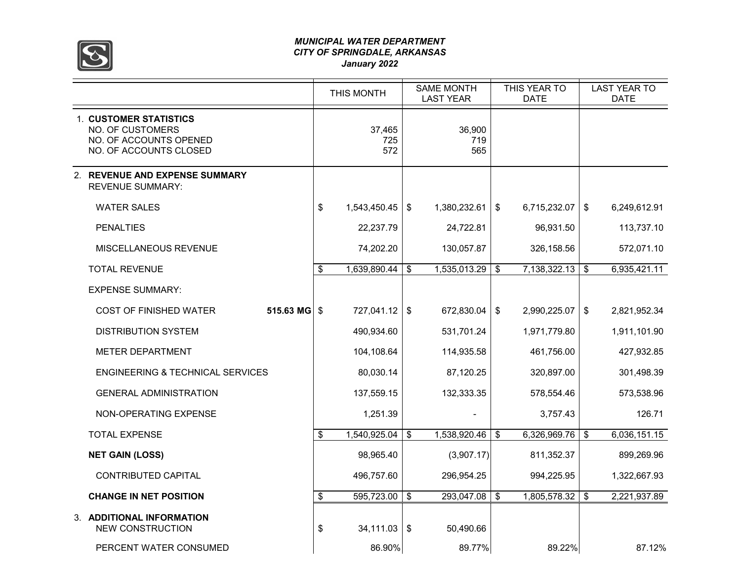

#### *MUNICIPAL WATER DEPARTMENT CITY OF SPRINGDALE, ARKANSAS January 2022*

|                                                                                                              |                            | THIS MONTH           | <b>SAME MONTH</b><br><b>LAST YEAR</b> | THIS YEAR TO<br><b>DATE</b> |              |               | <b>LAST YEAR TO</b><br><b>DATE</b> |  |  |
|--------------------------------------------------------------------------------------------------------------|----------------------------|----------------------|---------------------------------------|-----------------------------|--------------|---------------|------------------------------------|--|--|
| <b>1. CUSTOMER STATISTICS</b><br><b>NO. OF CUSTOMERS</b><br>NO. OF ACCOUNTS OPENED<br>NO. OF ACCOUNTS CLOSED |                            | 37,465<br>725<br>572 | 36,900<br>719<br>565                  |                             |              |               |                                    |  |  |
| 2. REVENUE AND EXPENSE SUMMARY<br><b>REVENUE SUMMARY:</b>                                                    |                            |                      |                                       |                             |              |               |                                    |  |  |
| <b>WATER SALES</b>                                                                                           | \$                         | 1,543,450.45         | \$<br>1,380,232.61                    | \$                          | 6,715,232.07 | \$            | 6,249,612.91                       |  |  |
| <b>PENALTIES</b>                                                                                             |                            | 22,237.79            | 24,722.81                             |                             | 96,931.50    |               | 113,737.10                         |  |  |
| MISCELLANEOUS REVENUE                                                                                        |                            | 74,202.20            | 130,057.87                            |                             | 326,158.56   |               | 572,071.10                         |  |  |
| <b>TOTAL REVENUE</b>                                                                                         | \$                         | 1,639,890.44         | \$<br>1,535,013.29                    | \$                          | 7,138,322.13 | \$            | 6,935,421.11                       |  |  |
| <b>EXPENSE SUMMARY:</b>                                                                                      |                            |                      |                                       |                             |              |               |                                    |  |  |
| 515.63 MG<br><b>COST OF FINISHED WATER</b>                                                                   | $\boldsymbol{\mathsf{\$}}$ | 727,041.12           | \$<br>672,830.04                      | \$                          | 2,990,225.07 | $\sqrt[6]{2}$ | 2,821,952.34                       |  |  |
| <b>DISTRIBUTION SYSTEM</b>                                                                                   |                            | 490,934.60           | 531,701.24                            |                             | 1,971,779.80 |               | 1,911,101.90                       |  |  |
| <b>METER DEPARTMENT</b>                                                                                      |                            | 104,108.64           | 114,935.58                            |                             | 461,756.00   |               | 427,932.85                         |  |  |
| ENGINEERING & TECHNICAL SERVICES                                                                             |                            | 80,030.14            | 87,120.25                             |                             | 320,897.00   |               | 301,498.39                         |  |  |
| <b>GENERAL ADMINISTRATION</b>                                                                                |                            | 137,559.15           | 132,333.35                            |                             | 578,554.46   |               | 573,538.96                         |  |  |
| NON-OPERATING EXPENSE                                                                                        |                            | 1,251.39             |                                       |                             | 3.757.43     |               | 126.71                             |  |  |
| <b>TOTAL EXPENSE</b>                                                                                         | \$                         | 1,540,925.04         | \$<br>1,538,920.46                    | \$                          | 6,326,969.76 | \$            | 6,036,151.15                       |  |  |
| <b>NET GAIN (LOSS)</b>                                                                                       |                            | 98,965.40            | (3,907.17)                            |                             | 811,352.37   |               | 899,269.96                         |  |  |
| <b>CONTRIBUTED CAPITAL</b>                                                                                   |                            | 496,757.60           | 296,954.25                            |                             | 994,225.95   |               | 1,322,667.93                       |  |  |
| <b>CHANGE IN NET POSITION</b>                                                                                | \$                         | 595,723.00           | \$<br>293,047.08                      | \$                          | 1,805,578.32 | \$            | 2,221,937.89                       |  |  |
| 3. ADDITIONAL INFORMATION<br><b>NEW CONSTRUCTION</b>                                                         | \$                         | 34,111.03            | \$<br>50,490.66                       |                             |              |               |                                    |  |  |
| PERCENT WATER CONSUMED                                                                                       |                            | 86.90%               | 89.77%                                |                             | 89.22%       |               | 87.12%                             |  |  |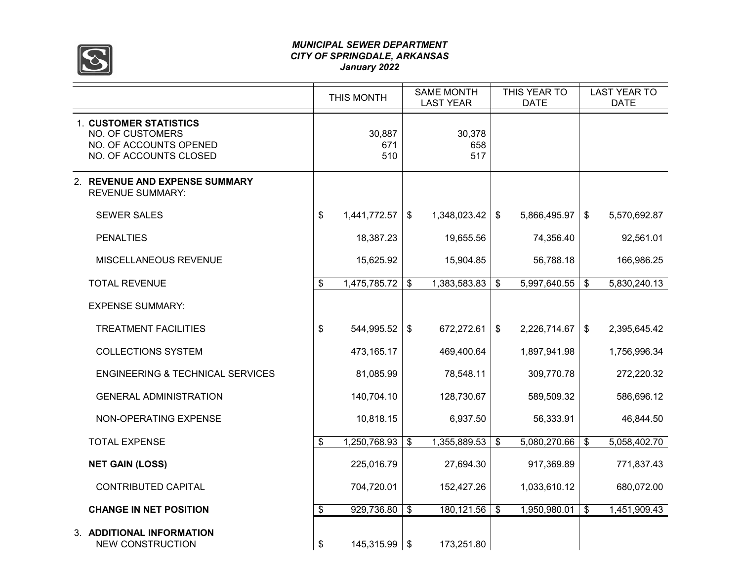

#### *MUNICIPAL SEWER DEPARTMENT CITY OF SPRINGDALE, ARKANSAS January 2022*

|                                                                                                              | THIS MONTH            | <b>SAME MONTH</b><br><b>LAST YEAR</b> |                      |               | THIS YEAR TO<br><b>DATE</b> | <b>LAST YEAR TO</b><br><b>DATE</b> |              |  |
|--------------------------------------------------------------------------------------------------------------|-----------------------|---------------------------------------|----------------------|---------------|-----------------------------|------------------------------------|--------------|--|
| <b>1. CUSTOMER STATISTICS</b><br><b>NO. OF CUSTOMERS</b><br>NO. OF ACCOUNTS OPENED<br>NO. OF ACCOUNTS CLOSED | 30,887<br>671<br>510  |                                       | 30,378<br>658<br>517 |               |                             |                                    |              |  |
| 2. REVENUE AND EXPENSE SUMMARY<br><b>REVENUE SUMMARY:</b>                                                    |                       |                                       |                      |               |                             |                                    |              |  |
| <b>SEWER SALES</b>                                                                                           | \$<br>1,441,772.57    | $\frac{1}{2}$                         | 1,348,023.42         | \$            | 5,866,495.97                | $\sqrt[6]{3}$                      | 5,570,692.87 |  |
| <b>PENALTIES</b>                                                                                             | 18,387.23             |                                       | 19,655.56            |               | 74,356.40                   |                                    | 92,561.01    |  |
| MISCELLANEOUS REVENUE                                                                                        | 15,625.92             |                                       | 15,904.85            |               | 56,788.18                   |                                    | 166,986.25   |  |
| <b>TOTAL REVENUE</b>                                                                                         | \$<br>1,475,785.72    | \$                                    | 1,383,583.83         | \$            | 5,997,640.55                | \$                                 | 5,830,240.13 |  |
| <b>EXPENSE SUMMARY:</b>                                                                                      |                       |                                       |                      |               |                             |                                    |              |  |
| <b>TREATMENT FACILITIES</b>                                                                                  | \$<br>544,995.52      | \$                                    | 672,272.61           | $\sqrt[6]{2}$ | 2,226,714.67                | \$                                 | 2,395,645.42 |  |
| <b>COLLECTIONS SYSTEM</b>                                                                                    | 473,165.17            |                                       | 469,400.64           |               | 1,897,941.98                |                                    | 1,756,996.34 |  |
| <b>ENGINEERING &amp; TECHNICAL SERVICES</b>                                                                  | 81,085.99             |                                       | 78,548.11            |               | 309,770.78                  |                                    | 272,220.32   |  |
| <b>GENERAL ADMINISTRATION</b>                                                                                | 140,704.10            |                                       | 128,730.67           |               | 589,509.32                  |                                    | 586,696.12   |  |
| NON-OPERATING EXPENSE                                                                                        | 10,818.15             |                                       | 6,937.50             |               | 56,333.91                   |                                    | 46,844.50    |  |
| <b>TOTAL EXPENSE</b>                                                                                         | \$<br>1,250,768.93    | $\mathfrak{P}$                        | 1,355,889.53         | \$            | 5,080,270.66                | $\boldsymbol{\mathsf{s}}$          | 5,058,402.70 |  |
| <b>NET GAIN (LOSS)</b>                                                                                       | 225,016.79            |                                       | 27,694.30            |               | 917,369.89                  |                                    | 771,837.43   |  |
| <b>CONTRIBUTED CAPITAL</b>                                                                                   | 704,720.01            |                                       | 152,427.26           |               | 1,033,610.12                |                                    | 680,072.00   |  |
| <b>CHANGE IN NET POSITION</b>                                                                                | \$<br>929,736.80      | \$                                    | 180, 121.56          | \$            | 1,950,980.01                | $\overline{\mathbf{3}}$            | 1,451,909.43 |  |
| 3. ADDITIONAL INFORMATION<br><b>NEW CONSTRUCTION</b>                                                         | \$<br>$145,315.99$ \$ |                                       | 173,251.80           |               |                             |                                    |              |  |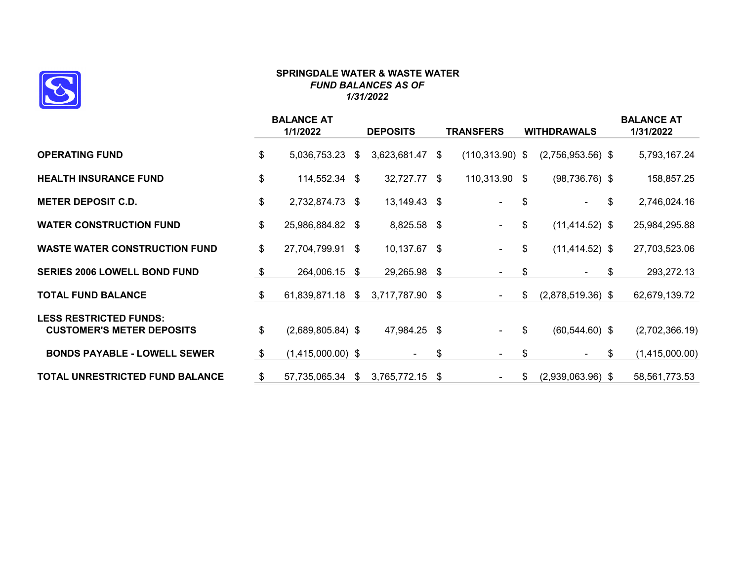

#### **SPRINGDALE WATER & WASTE WATER** *FUND BALANCES AS OF 1/31/2022*

|                                                                   | <b>BALANCE AT</b><br>1/1/2022 | <b>DEPOSITS</b>       | TRANSFERS                | <b>WITHDRAWALS</b>        | <b>BALANCE AT</b><br>1/31/2022 |
|-------------------------------------------------------------------|-------------------------------|-----------------------|--------------------------|---------------------------|--------------------------------|
| <b>OPERATING FUND</b>                                             | \$<br>5,036,753.23            | \$<br>3,623,681.47    | \$<br>$(110, 313.90)$ \$ | $(2,756,953.56)$ \$       | 5,793,167.24                   |
| <b>HEALTH INSURANCE FUND</b>                                      | \$<br>114,552.34              | \$<br>32,727.77 \$    | 110,313.90 \$            | $(98, 736.76)$ \$         | 158,857.25                     |
| <b>METER DEPOSIT C.D.</b>                                         | \$<br>2,732,874.73            | \$<br>13,149.43 \$    | $\blacksquare$           | \$                        | \$<br>2,746,024.16             |
| <b>WATER CONSTRUCTION FUND</b>                                    | \$<br>25,986,884.82 \$        | 8,825.58 \$           | $\blacksquare$           | \$<br>$(11, 414.52)$ \$   | 25,984,295.88                  |
| <b>WASTE WATER CONSTRUCTION FUND</b>                              | \$<br>27,704,799.91 \$        | 10,137.67 \$          | $\blacksquare$           | \$<br>$(11, 414.52)$ \$   | 27,703,523.06                  |
| <b>SERIES 2006 LOWELL BOND FUND</b>                               | \$<br>264,006.15              | \$<br>29,265.98 \$    | $\blacksquare$           | \$                        | \$<br>293,272.13               |
| <b>TOTAL FUND BALANCE</b>                                         | \$<br>61,839,871.18           | \$<br>3,717,787.90 \$ | $\sim$                   | \$<br>$(2,878,519.36)$ \$ | 62,679,139.72                  |
| <b>LESS RESTRICTED FUNDS:</b><br><b>CUSTOMER'S METER DEPOSITS</b> | \$<br>$(2,689,805.84)$ \$     | 47,984.25 \$          | $\sim$                   | \$<br>$(60, 544.60)$ \$   | (2,702,366.19)                 |
| <b>BONDS PAYABLE - LOWELL SEWER</b>                               | \$<br>$(1,415,000.00)$ \$     | $\blacksquare$        | \$<br>$\sim$             | \$                        | \$<br>(1,415,000.00)           |
| TOTAL UNRESTRICTED FUND BALANCE                                   | \$<br>57,735,065.34           | \$<br>3,765,772.15    | \$<br>$\blacksquare$     | \$<br>$(2,939,063.96)$ \$ | 58,561,773.53                  |